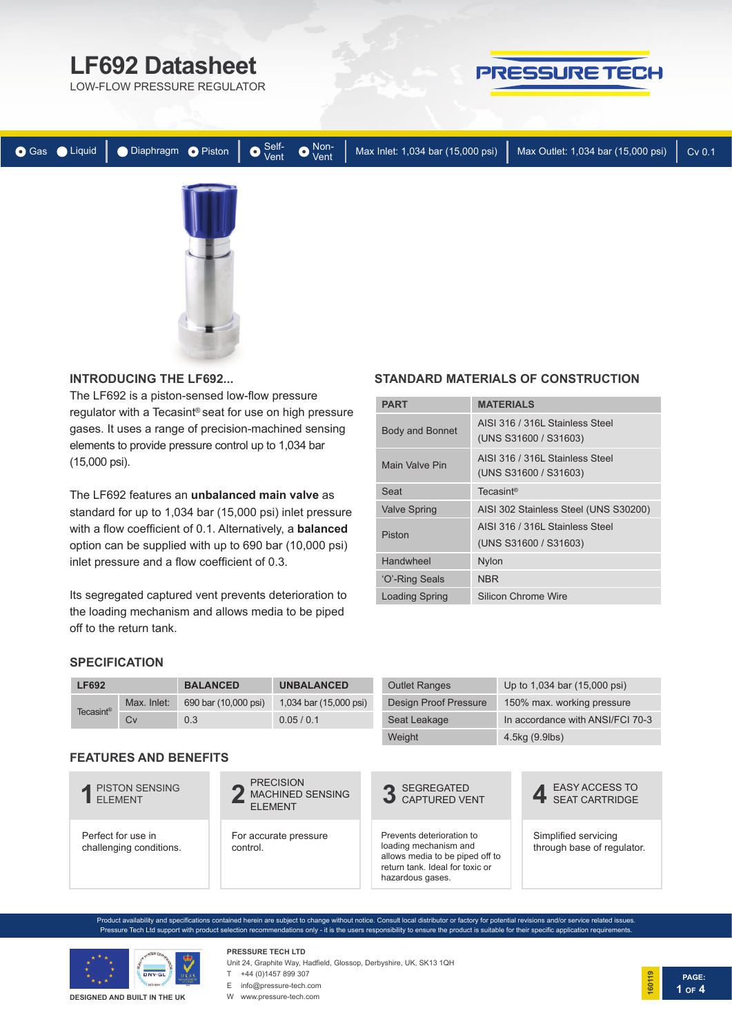# **LF692 Datasheet**

LOW-FLOW PRESSURE REGULATOR



|  |  |  | ● Gas ● Liquid   ● Diaphragm ● Piston   ● $\frac{\text{Self}}{\text{Vert}}$ ● $\frac{\text{Non-}}{\text{Vert}}$ Max Inlet: 1,034 bar (15,000 psi) | $\sqrt{}$ Max Outlet: 1,034 bar (15,000 psi) | Cv 0.1 |
|--|--|--|---------------------------------------------------------------------------------------------------------------------------------------------------|----------------------------------------------|--------|
|  |  |  |                                                                                                                                                   |                                              |        |
|  |  |  |                                                                                                                                                   |                                              |        |
|  |  |  |                                                                                                                                                   |                                              |        |
|  |  |  |                                                                                                                                                   |                                              |        |
|  |  |  |                                                                                                                                                   |                                              |        |

#### **INTRODUCING THE LF692...**

The LF692 is a piston-sensed low-flow pressure regulator with a Tecasint® seat for use on high pressure gases. It uses a range of precision-machined sensing elements to provide pressure control up to 1,034 bar (15,000 psi).

The LF692 features an **unbalanced main valve** as standard for up to 1,034 bar (15,000 psi) inlet pressure with a flow coefficient of 0.1. Alternatively, a **balanced**  option can be supplied with up to 690 bar (10,000 psi) inlet pressure and a flow coefficient of 0.3.

Its segregated captured vent prevents deterioration to the loading mechanism and allows media to be piped off to the return tank.

#### **STANDARD MATERIALS OF CONSTRUCTION**

| <b>PART</b>           | <b>MATERIALS</b>                                         |
|-----------------------|----------------------------------------------------------|
| Body and Bonnet       | AISI 316 / 316 Stainless Steel<br>(UNS S31600 / S31603)  |
| Main Valve Pin        | AISI 316 / 316L Stainless Steel<br>(UNS S31600 / S31603) |
| Seat                  | Tecasint <sup>®</sup>                                    |
| <b>Valve Spring</b>   | AISI 302 Stainless Steel (UNS S30200)                    |
| Piston                | AISI 316 / 316L Stainless Steel<br>(UNS S31600 / S31603) |
| Handwheel             | <b>Nylon</b>                                             |
| 'O'-Ring Seals        | <b>NBR</b>                                               |
| <b>Loading Spring</b> | Silicon Chrome Wire                                      |

#### **SPECIFICATION**

| <b>LF692</b>          |                                               | <b>BALANCED</b>      | <b>UNBALANCED</b>                                             | <b>Outlet Ranges</b>                                                                                                                         | Up to 1,034 bar (15,000 psi)                       |
|-----------------------|-----------------------------------------------|----------------------|---------------------------------------------------------------|----------------------------------------------------------------------------------------------------------------------------------------------|----------------------------------------------------|
| Tecasint <sup>®</sup> | Max. Inlet:                                   | 690 bar (10,000 psi) | 1,034 bar (15,000 psi)                                        | <b>Design Proof Pressure</b>                                                                                                                 | 150% max. working pressure                         |
|                       | Cv                                            | 0.3                  | 0.05/0.1                                                      | Seat Leakage                                                                                                                                 | In accordance with ANSI/FCI 70-3                   |
|                       |                                               |                      |                                                               | Weight                                                                                                                                       | 4.5kg (9.9lbs)                                     |
|                       | <b>FEATURES AND BENEFITS</b>                  |                      |                                                               |                                                                                                                                              |                                                    |
|                       | PISTON SENSING<br><b>FI FMFNT</b>             |                      | <b>PRECISION</b><br><b>MACHINED SENSING</b><br><b>ELEMENT</b> | <b>SEGREGATED</b><br><b>CAPTURED VENT</b>                                                                                                    | <b>EASY ACCESS TO</b><br><b>SEAT CARTRIDGE</b>     |
|                       | Perfect for use in<br>challenging conditions. | control.             | For accurate pressure                                         | Prevents deterioration to<br>loading mechanism and<br>allows media to be piped off to<br>return tank. Ideal for toxic or<br>hazardous gases. | Simplified servicing<br>through base of regulator. |
|                       |                                               |                      |                                                               |                                                                                                                                              |                                                    |

Product availability and specifications contained herein are subject to change without notice. Consult local distributor or factory for potential revisions and/or service related issues. Pressure Tech Ltd support with product selection recommendations only - it is the users responsibility to ensure the product is suitable for their specific application requirements



## **PRESSURE TECH LTD**

Unit 24, Graphite Way, Hadfield, Glossop, Derbyshire, UK, SK13 1QH T +44 (0)1457 899 307

**DESIGNED AND BUILT IN THE UK**

E info@pressure-tech.com W www.pressure-tech.com

**PAGE: 160119 1 OF 4**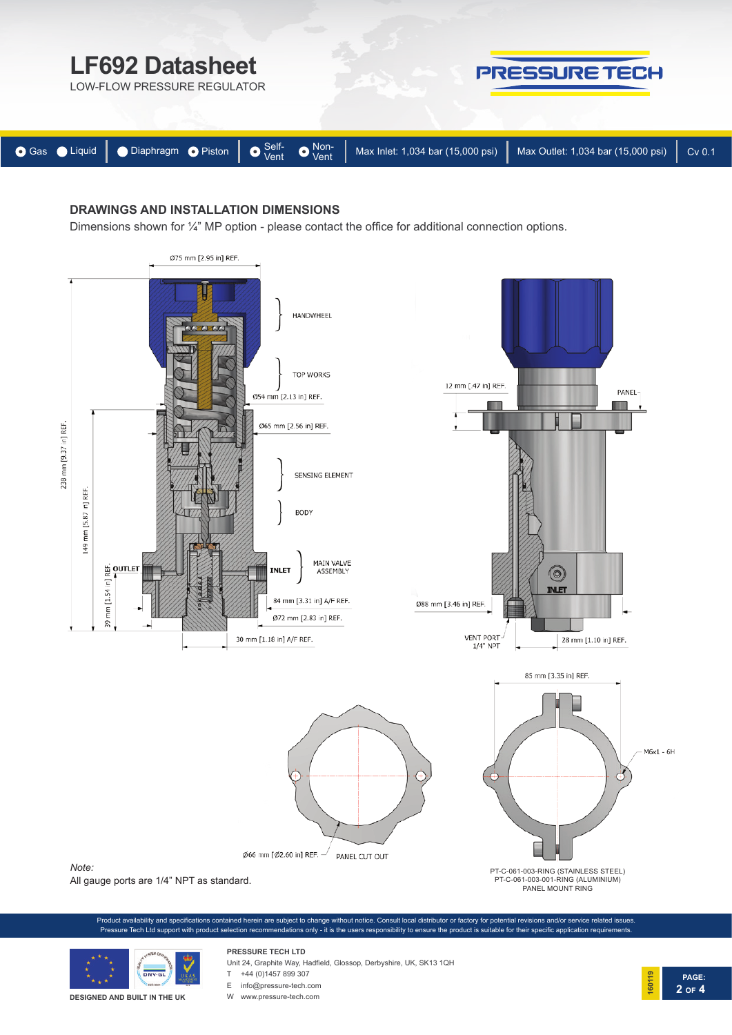

### **DRAWINGS AND INSTALLATION DIMENSIONS**

Dimensions shown for ¼" MP option - please contact the office for additional connection options.



**PAGE:**

**2 OF 4**

**160119**



**DESIGNED AND BUILT IN THE UK**

# **PRESSURE TECH LTD**

Unit 24, Graphite Way, Hadfield, Glossop, Derbyshire, UK, SK13 1QH

 $T +44 (0)1457 899 307$ 

E info@pressure-tech.com

W www.pressure-tech.com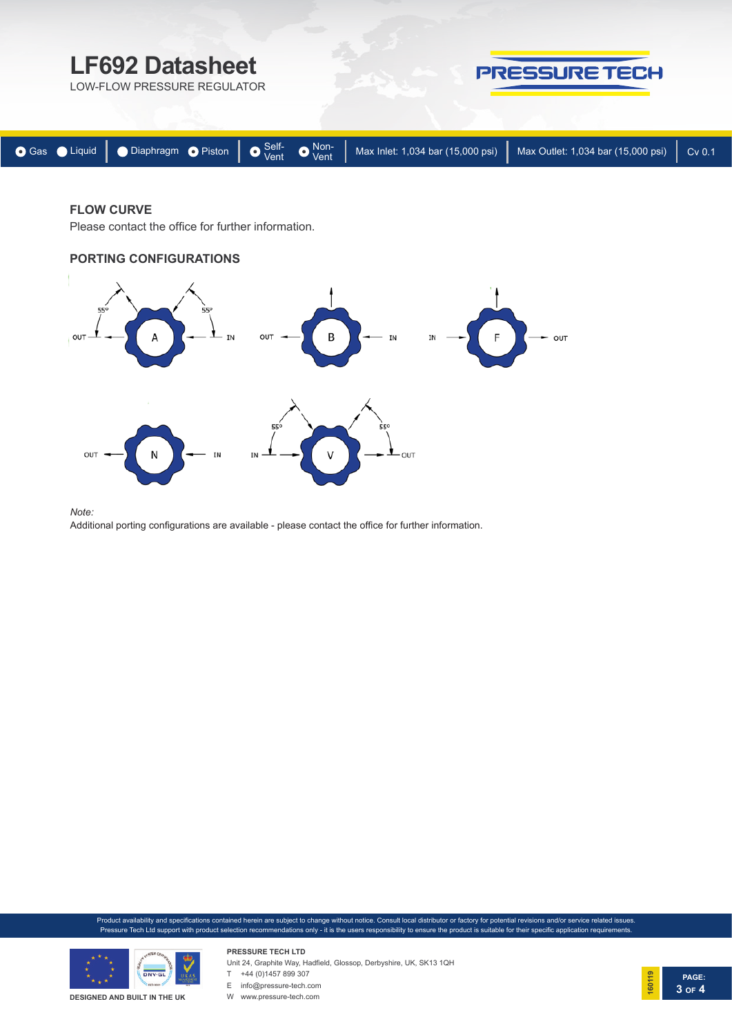

#### **FLOW CURVE**

Please contact the office for further information.

#### **PORTING CONFIGURATIONS**



*Note:* 

Additional porting configurations are available - please contact the office for further information.

Product availability and specifications contained herein are subject to change without notice. Consult local distributor or factory for potential revisions and/or service related issues. Pressure Tech Ltd support with product selection recommendations only - it is the users responsibility to ensure the product is suitable for their specific application requirements.



**PRESSURE TECH LTD** Unit 24, Graphite Way, Hadfield, Glossop, Derbyshire, UK, SK13 1QH  $T +44 (0)1457899307$ 



W www.pressure-tech.com